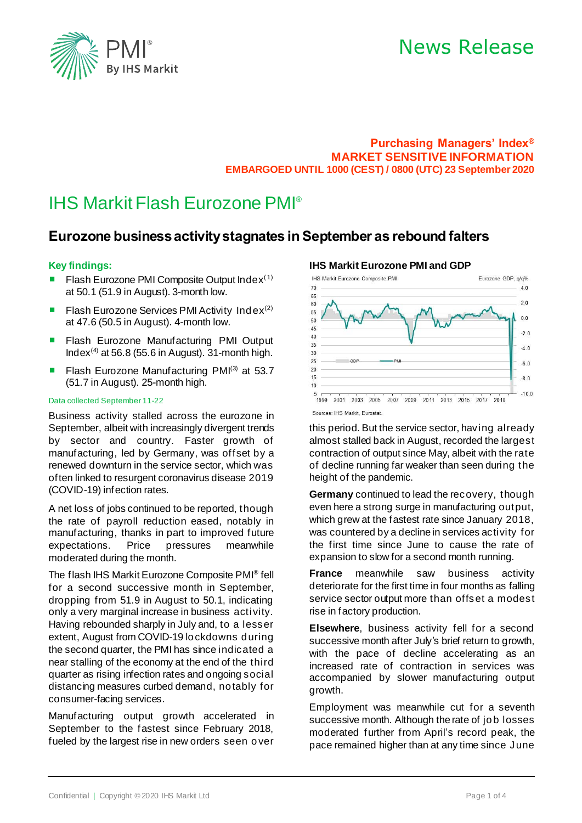

# News Release

### **Purchasing Managers' Index® MARKET SENSITIVE INFORMATION EMBARGOED UNTIL 1000 (CEST) / 0800 (UTC) 23 September 2020**

# IHS Markit Flash Eurozone PMI®

# **Eurozone business activity stagnates in September as rebound falters**

### **Key findings:**

- Flash Eurozone PMI Composite Output Index $(1)$ at 50.1 (51.9 in August). 3-month low.
- **E** Flash Eurozone Services PMI Activity Index<sup>(2)</sup> at 47.6 (50.5 in August). 4-month low.
- Flash Eurozone Manufacturing PMI Output Index<sup>(4)</sup> at 56.8 (55.6 in August). 31-month high.
- Flash Eurozone Manufacturing PMI<sup>(3)</sup> at 53.7 (51.7 in August). 25-month high.

#### Data collected September 11-22

Business activity stalled across the eurozone in September, albeit with increasingly divergent trends by sector and country. Faster growth of manufacturing, led by Germany, was offset by a renewed downturn in the service sector, which was often linked to resurgent coronavirus disease 2019 (COVID-19) infection rates.

A net loss of jobs continued to be reported, though the rate of payroll reduction eased, notably in manufacturing, thanks in part to improved future expectations. Price pressures meanwhile moderated during the month.

The flash IHS Markit Eurozone Composite PMI® fell for a second successive month in September, dropping from 51.9 in August to 50.1, indicating only a very marginal increase in business activity. Having rebounded sharply in July and, to a lesser extent, August from COVID-19 lockdowns during the second quarter, the PMI has since indicated a near stalling of the economy at the end of the third quarter as rising infection rates and ongoing social distancing measures curbed demand, notably for consumer-facing services.

Manufacturing output growth accelerated in September to the fastest since February 2018, fueled by the largest rise in new orders seen o ver

## **IHS Markit Eurozone PMI and GDP**



this period. But the service sector, having already almost stalled back in August, recorded the largest contraction of output since May, albeit with the rate of decline running far weaker than seen during the height of the pandemic.

**Germany** continued to lead the recovery, though even here a strong surge in manufacturing output, which grew at the fastest rate since January 2018, was countered by a decline in services activity for the first time since June to cause the rate of expansion to slow for a second month running.

**France** meanwhile saw business activity deteriorate for the first time in four months as falling service sector output more than offset a modest rise in factory production.

**Elsewhere**, business activity fell for a second successive month after July's brief return to growth, with the pace of decline accelerating as an increased rate of contraction in services was accompanied by slower manufacturing output growth.

Employment was meanwhile cut for a seventh successive month. Although the rate of job losses moderated further from April's record peak, the pace remained higher than at any time since June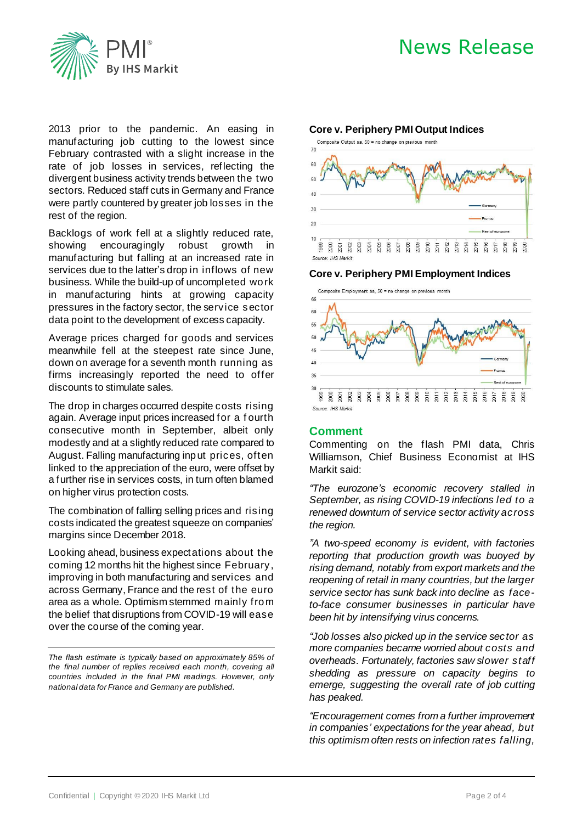



2013 prior to the pandemic. An easing in manufacturing job cutting to the lowest since February contrasted with a slight increase in the rate of job losses in services, reflecting the divergent business activity trends between the two sectors. Reduced staff cuts in Germany and France were partly countered by greater job losses in the rest of the region.

Backlogs of work fell at a slightly reduced rate, showing encouragingly robust growth in manufacturing but falling at an increased rate in services due to the latter's drop in inflows of new business. While the build-up of uncompleted work in manufacturing hints at growing capacity pressures in the factory sector, the service sector data point to the development of excess capacity.

Average prices charged for goods and services meanwhile fell at the steepest rate since June, down on average for a seventh month running as firms increasingly reported the need to offer discounts to stimulate sales.

The drop in charges occurred despite costs rising again. Average input prices increased for a f ourth consecutive month in September, albeit only modestly and at a slightly reduced rate compared to August. Falling manufacturing input prices, often linked to the appreciation of the euro, were offset by a further rise in services costs, in turn often blamed on higher virus protection costs.

The combination of falling selling prices and rising costs indicated the greatest squeeze on companies' margins since December 2018.

Looking ahead, business expectations about the coming 12 months hit the highest since February, improving in both manufacturing and services and across Germany, France and the rest of the euro area as a whole. Optimism stemmed mainly from the belief that disruptions from COVID-19 will ease over the course of the coming year.

*The flash estimate is typically based on approximately 85% of the final number of replies received each month, covering all countries included in the final PMI readings. However, only national data for France and Germany are published.*





**Core v. Periphery PMI Employment Indices**



### **Comment**

Commenting on the flash PMI data, Chris Williamson, Chief Business Economist at IHS Markit said:

*"The eurozone's economic recovery stalled in September, as rising COVID-19 infections led to a renewed downturn of service sector activity across the region.* 

*"A two-speed economy is evident, with factories reporting that production growth was buoyed by rising demand, notably from export markets and the reopening of retail in many countries, but the larger service sector has sunk back into decline as faceto-face consumer businesses in particular have been hit by intensifying virus concerns.* 

*"Job losses also picked up in the service sector as more companies became worried about costs and overheads. Fortunately, factories saw slower staff shedding as pressure on capacity begins to emerge, suggesting the overall rate of job cutting has peaked.* 

*"Encouragement comes from a further improvement in companies' expectations for the year ahead, but this optimism often rests on infection rates falling,*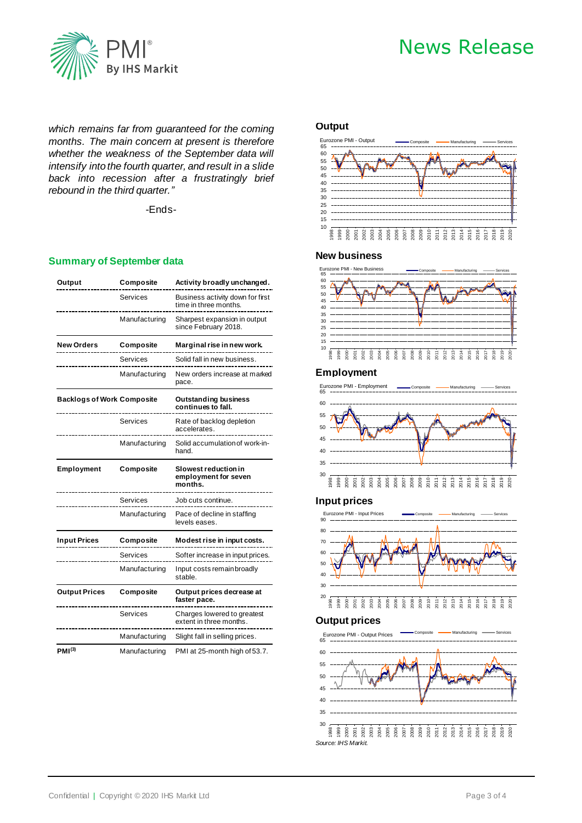

# News Release

*which remains far from guaranteed for the coming months. The main concern at present is therefore whether the weakness of the September data will intensify into the fourth quarter, and result in a slide back into recession after a frustratingly brief rebound in the third quarter."*

-Ends-

#### **Summary of September data**

| Output                            | Composite     | Activity broadly unchanged.                               |  |
|-----------------------------------|---------------|-----------------------------------------------------------|--|
|                                   | Services      | Business activity down for first<br>time in three months. |  |
|                                   | Manufacturing | Sharpest expansion in output<br>since February 2018.      |  |
| <b>New Orders</b>                 | Composite     | Marginal rise in new work.                                |  |
|                                   | Services      | Solid fall in new business.                               |  |
|                                   | Manufacturing | New orders increase at marked<br>pace.                    |  |
| <b>Backlogs of Work Composite</b> |               | <b>Outstanding business</b><br>continues to fall.         |  |
|                                   | Services      | Rate of backlog depletion<br>accelerates.                 |  |
|                                   | Manufacturing | Solid accumulation of work-in-<br>hand.                   |  |
| Employment                        | Composite     | Slowest reduction in<br>employment for seven<br>months.   |  |
|                                   | Services      | Job cuts continue.                                        |  |
|                                   | Manufacturing | Pace of decline in staffing<br>levels eases.              |  |
| <b>Input Prices</b>               | Composite     | Modest rise in input costs.                               |  |
|                                   | Services      | Softer increase in input prices.                          |  |
|                                   | Manufacturing | Input costs remain broadly<br>stable.                     |  |
| <b>Output Prices</b>              | Composite     | Output prices decrease at<br>faster pace.                 |  |
|                                   | Services      | Charges lowered to greatest<br>extent in three months.    |  |
|                                   | Manufacturing | Slight fall in selling prices.                            |  |
| PMI <sup>(3)</sup>                | Manufacturing | PMI at 25-month high of 53.7.                             |  |

#### **Output**



#### **New business**



#### **Employment**



#### **Input prices**



#### **Output prices**